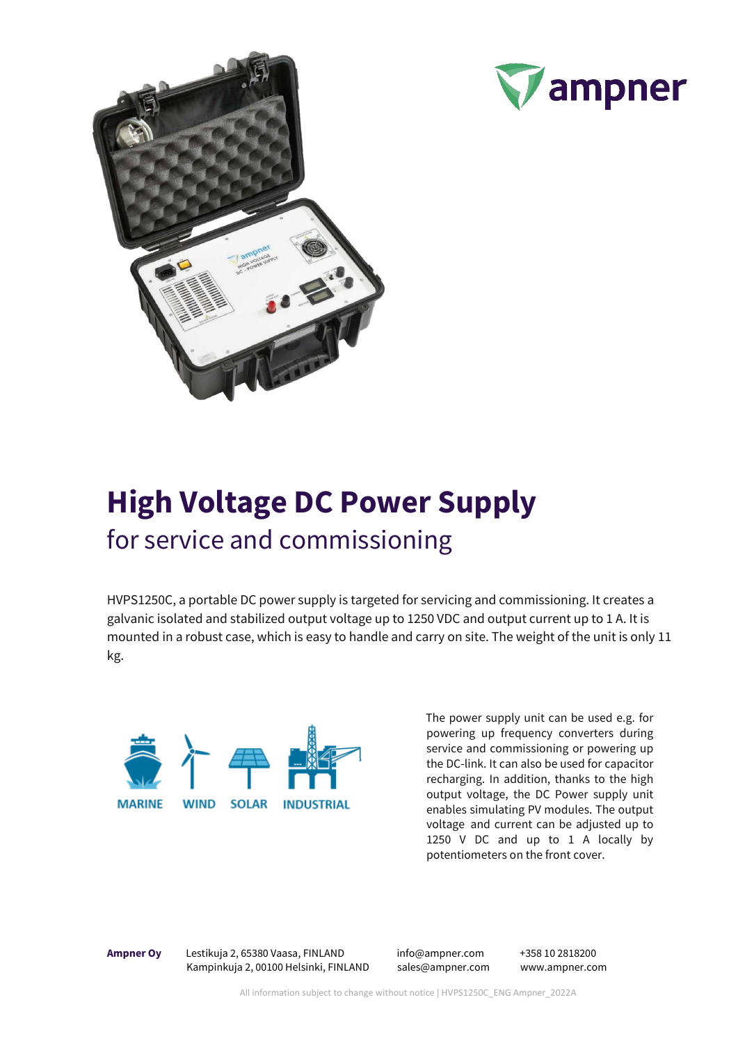



## **High Voltage DC Power Supply** for service and commissioning

HVPS1250C, a portable DC power supply is targeted for servicing and commissioning. It creates a galvanic isolated and stabilized output voltage up to 1250 VDC and output current up to 1 A. It is mounted in a robust case, which is easy to handle and carry on site. The weight of the unit is only 11 kg.



The power supply unit can be used e.g. for powering up frequency converters during service and commissioning or powering up the DC-link. It can also be used for capacitor recharging. In addition, thanks to the high output voltage, the DC Power supply unit enables simulating PV modules. The output voltage and current can be adjusted up to 1250 V DC and up to 1 A locally by potentiometers on the front cover.

**Ampner Oy** Lestikuja 2, 65380 Vaasa, FINLAND info@ampner.com +358 10 2818200 Kampinkuja 2,00100 Helsinki, FINLAND sales@ampner.com www.ampner.com